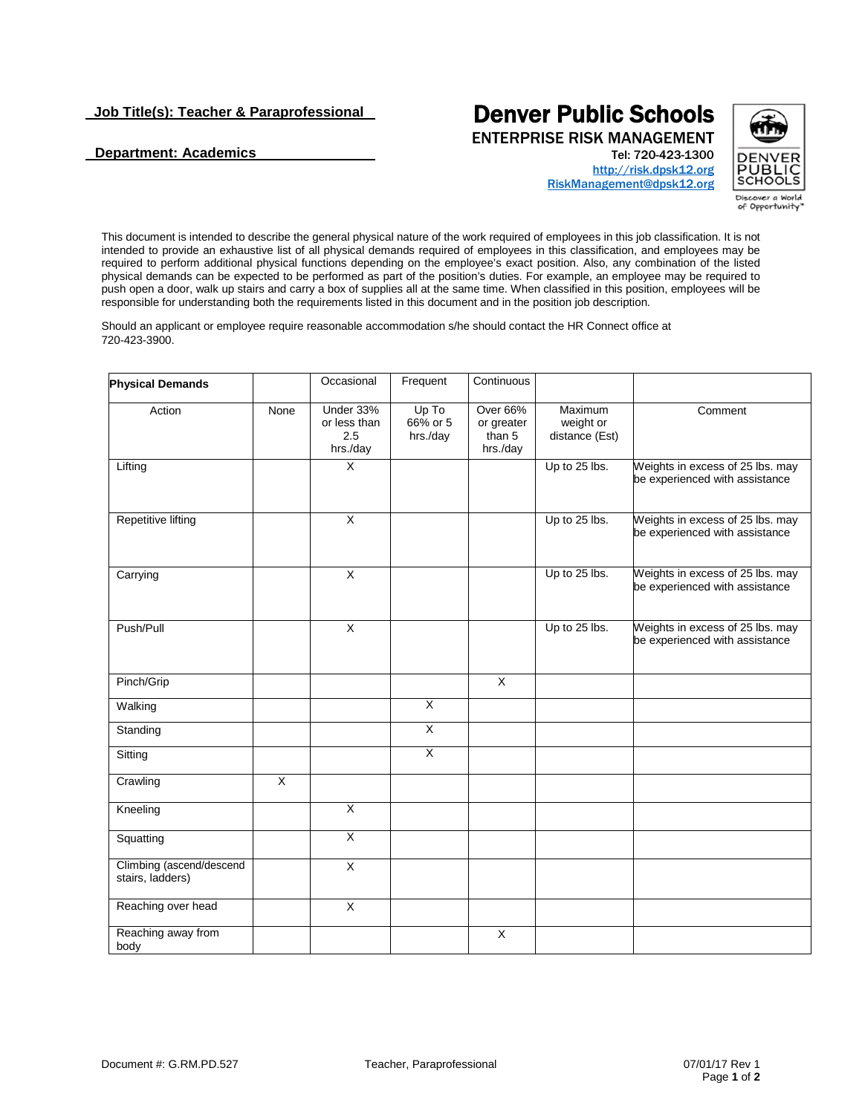## **Department: Academics**

## **Denver Public Schools**<br>ENTERPRISE RISK MANAGEMENT

Tel: 720-423-1300



[http://risk.dpsk12.org](https://financialservices.dpsk12.org/risk-management/) [RiskManagement@dpsk12.org](mailto:RiskManagement@dpsk12.org)

This document is intended to describe the general physical nature of the work required of employees in this job classification. It is not intended to provide an exhaustive list of all physical demands required of employees in this classification, and employees may be required to perform additional physical functions depending on the employee's exact position. Also, any combination of the listed physical demands can be expected to be performed as part of the position's duties. For example, an employee may be required to push open a door, walk up stairs and carry a box of supplies all at the same time. When classified in this position, employees will be responsible for understanding both the requirements listed in this document and in the position job description.

Should an applicant or employee require reasonable accommodation s/he should contact the HR Connect office at 720-423-3900.

| <b>Physical Demands</b>                      |      | Occasional                                   | Frequent                      | Continuous                                   |                                        |                                                                    |
|----------------------------------------------|------|----------------------------------------------|-------------------------------|----------------------------------------------|----------------------------------------|--------------------------------------------------------------------|
| Action                                       | None | Under 33%<br>or less than<br>2.5<br>hrs./day | Up To<br>66% or 5<br>hrs./day | Over 66%<br>or greater<br>than 5<br>hrs./day | Maximum<br>weight or<br>distance (Est) | Comment                                                            |
| Lifting                                      |      | $\overline{\mathsf{x}}$                      |                               |                                              | Up to 25 lbs.                          | Weights in excess of 25 lbs. may<br>be experienced with assistance |
| <b>Repetitive lifting</b>                    |      | $\overline{\mathsf{x}}$                      |                               |                                              | Up to 25 lbs.                          | Weights in excess of 25 lbs. may<br>be experienced with assistance |
| Carrying                                     |      | X                                            |                               |                                              | Up to 25 lbs.                          | Weights in excess of 25 lbs. may<br>be experienced with assistance |
| Push/Pull                                    |      | $\overline{X}$                               |                               |                                              | Up to 25 lbs.                          | Weights in excess of 25 lbs. may<br>be experienced with assistance |
| Pinch/Grip                                   |      |                                              |                               | $\pmb{\times}$                               |                                        |                                                                    |
| Walking                                      |      |                                              | $\overline{\mathsf{x}}$       |                                              |                                        |                                                                    |
| Standing                                     |      |                                              | $\overline{\mathsf{x}}$       |                                              |                                        |                                                                    |
| Sitting                                      |      |                                              | χ                             |                                              |                                        |                                                                    |
| Crawling                                     | X    |                                              |                               |                                              |                                        |                                                                    |
| Kneeling                                     |      | $\overline{X}$                               |                               |                                              |                                        |                                                                    |
| Squatting                                    |      | $\overline{X}$                               |                               |                                              |                                        |                                                                    |
| Climbing (ascend/descend<br>stairs, ladders) |      | $\overline{\mathsf{x}}$                      |                               |                                              |                                        |                                                                    |
| Reaching over head                           |      | X                                            |                               |                                              |                                        |                                                                    |
| Reaching away from<br>body                   |      |                                              |                               | X                                            |                                        |                                                                    |